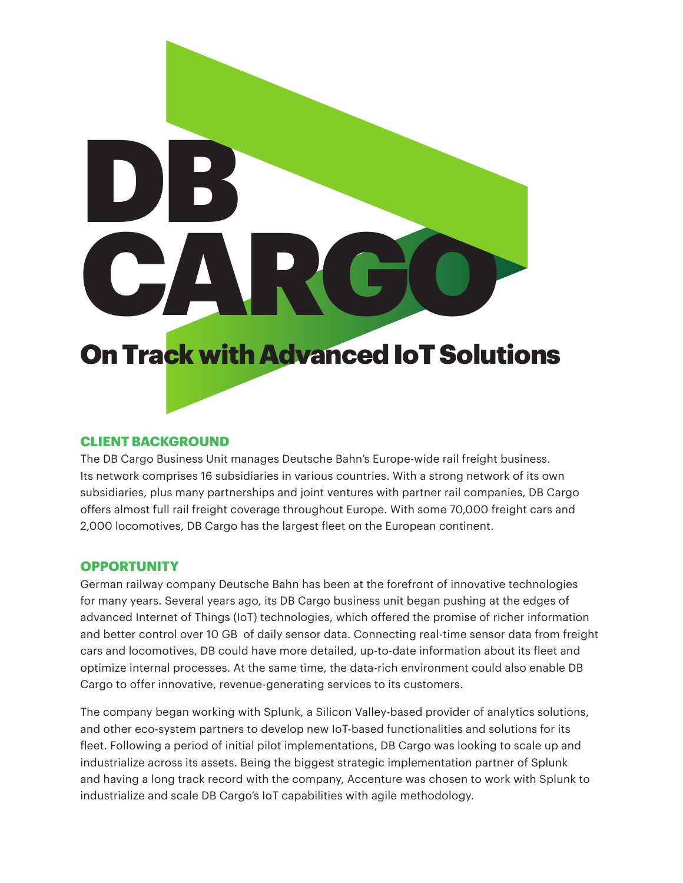# On Track with Advanced IoT Solutions DB. CARGO

# **CLIENT BACKGROUND**

The DB Cargo Business Unit manages Deutsche Bahn's Europe-wide rail freight business. Its network comprises 16 subsidiaries in various countries. With a strong network of its own subsidiaries, plus many partnerships and joint ventures with partner rail companies, DB Cargo offers almost full rail freight coverage throughout Europe. With some 70,000 freight cars and 2,000 locomotives, DB Cargo has the largest fleet on the European continent.

### **OPPORTUNITY**

German railway company Deutsche Bahn has been at the forefront of innovative technologies for many years. Several years ago, its DB Cargo business unit began pushing at the edges of advanced Internet of Things (IoT) technologies, which offered the promise of richer information and better control over 10 GB of daily sensor data. Connecting real-time sensor data from freight cars and locomotives, DB could have more detailed, up-to-date information about its fleet and optimize internal processes. At the same time, the data-rich environment could also enable DB Cargo to offer innovative, revenue-generating services to its customers.

The company began working with Splunk, a Silicon Valley-based provider of analytics solutions, and other eco-system partners to develop new IoT-based functionalities and solutions for its fleet. Following a period of initial pilot implementations, DB Cargo was looking to scale up and industrialize across its assets. Being the biggest strategic implementation partner of Splunk and having a long track record with the company, Accenture was chosen to work with Splunk to industrialize and scale DB Cargo's IoT capabilities with agile methodology.